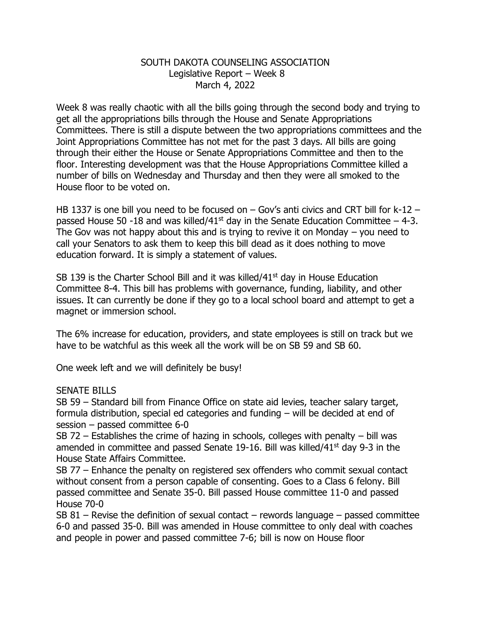## SOUTH DAKOTA COUNSELING ASSOCIATION Legislative Report – Week 8 March 4, 2022

Week 8 was really chaotic with all the bills going through the second body and trying to get all the appropriations bills through the House and Senate Appropriations Committees. There is still a dispute between the two appropriations committees and the Joint Appropriations Committee has not met for the past 3 days. All bills are going through their either the House or Senate Appropriations Committee and then to the floor. Interesting development was that the House Appropriations Committee killed a number of bills on Wednesday and Thursday and then they were all smoked to the House floor to be voted on.

HB 1337 is one bill you need to be focused on – Gov's anti civics and CRT bill for k-12 – passed House 50 -18 and was killed/41<sup>st</sup> day in the Senate Education Committee  $-$  4-3. The Gov was not happy about this and is trying to revive it on Monday  $-$  you need to call your Senators to ask them to keep this bill dead as it does nothing to move education forward. It is simply a statement of values.

SB 139 is the Charter School Bill and it was killed/41<sup>st</sup> day in House Education Committee 8-4. This bill has problems with governance, funding, liability, and other issues. It can currently be done if they go to a local school board and attempt to get a magnet or immersion school.

The 6% increase for education, providers, and state employees is still on track but we have to be watchful as this week all the work will be on SB 59 and SB 60.

One week left and we will definitely be busy!

## SENATE BILLS

SB 59 – Standard bill from Finance Office on state aid levies, teacher salary target, formula distribution, special ed categories and funding – will be decided at end of session – passed committee 6-0

SB 72 – Establishes the crime of hazing in schools, colleges with penalty – bill was amended in committee and passed Senate 19-16. Bill was killed/41 $st$  day 9-3 in the House State Affairs Committee.

SB 77 – Enhance the penalty on registered sex offenders who commit sexual contact without consent from a person capable of consenting. Goes to a Class 6 felony. Bill passed committee and Senate 35-0. Bill passed House committee 11-0 and passed House 70-0

SB 81 – Revise the definition of sexual contact – rewords language – passed committee 6-0 and passed 35-0. Bill was amended in House committee to only deal with coaches and people in power and passed committee 7-6; bill is now on House floor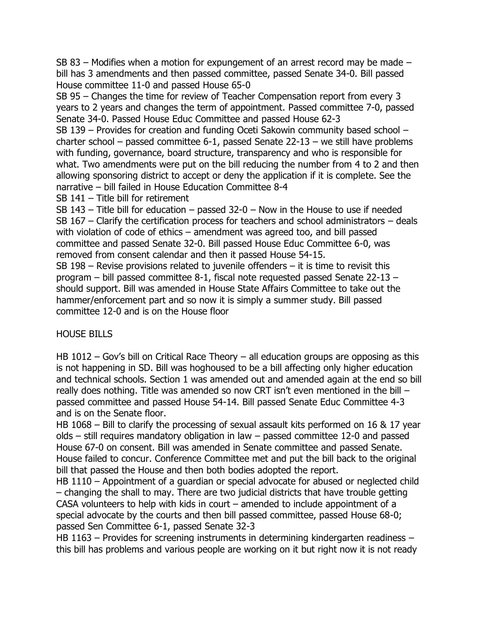SB 83 – Modifies when a motion for expungement of an arrest record may be made – bill has 3 amendments and then passed committee, passed Senate 34-0. Bill passed House committee 11-0 and passed House 65-0

SB 95 – Changes the time for review of Teacher Compensation report from every 3 years to 2 years and changes the term of appointment. Passed committee 7-0, passed Senate 34-0. Passed House Educ Committee and passed House 62-3

SB 139 – Provides for creation and funding Oceti Sakowin community based school – charter school – passed committee 6-1, passed Senate 22-13 – we still have problems with funding, governance, board structure, transparency and who is responsible for what. Two amendments were put on the bill reducing the number from 4 to 2 and then allowing sponsoring district to accept or deny the application if it is complete. See the narrative – bill failed in House Education Committee 8-4

SB 141 – Title bill for retirement

SB 143 – Title bill for education – passed 32-0 – Now in the House to use if needed SB 167 – Clarify the certification process for teachers and school administrators – deals with violation of code of ethics – amendment was agreed too, and bill passed committee and passed Senate 32-0. Bill passed House Educ Committee 6-0, was removed from consent calendar and then it passed House 54-15.

SB 198 – Revise provisions related to juvenile offenders – it is time to revisit this program – bill passed committee 8-1, fiscal note requested passed Senate 22-13 – should support. Bill was amended in House State Affairs Committee to take out the hammer/enforcement part and so now it is simply a summer study. Bill passed committee 12-0 and is on the House floor

## HOUSE BILLS

HB 1012 – Gov's bill on Critical Race Theory – all education groups are opposing as this is not happening in SD. Bill was hoghoused to be a bill affecting only higher education and technical schools. Section 1 was amended out and amended again at the end so bill really does nothing. Title was amended so now CRT isn't even mentioned in the bill – passed committee and passed House 54-14. Bill passed Senate Educ Committee 4-3 and is on the Senate floor.

HB 1068 – Bill to clarify the processing of sexual assault kits performed on 16 & 17 year olds – still requires mandatory obligation in law – passed committee 12-0 and passed House 67-0 on consent. Bill was amended in Senate committee and passed Senate. House failed to concur. Conference Committee met and put the bill back to the original bill that passed the House and then both bodies adopted the report.

HB 1110 – Appointment of a quardian or special advocate for abused or neglected child – changing the shall to may. There are two judicial districts that have trouble getting CASA volunteers to help with kids in court – amended to include appointment of a special advocate by the courts and then bill passed committee, passed House 68-0; passed Sen Committee 6-1, passed Senate 32-3

HB 1163 – Provides for screening instruments in determining kindergarten readiness – this bill has problems and various people are working on it but right now it is not ready